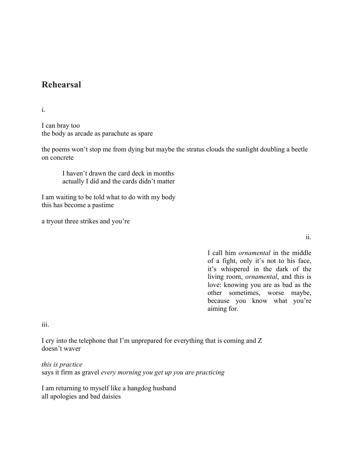## **Rehearsal**

i.

I can bray too the body as arcade as parachute as spare

the poems won't stop me from dying but maybe the stratus clouds the sunlight doubling a beetle on concrete

I haven't drawn the card deck in months actually I did and the cards didn't matter

I am waiting to be told what to do with my body this has become a pastime

a tryout three strikes and you're

ii.

I call him *ornamental* in the middle of a fight, only it's not to his face, it's whispered in the dark of the living room, *ornamental*, and this is love: knowing you are as bad as the other sometimes, worse maybe, because you know what you're aiming for.

iii.

I cry into the telephone that I'm unprepared for everything that is coming and Z doesn't waver

*this is practice*

says it firm as gravel *every morning you get up you are practicing*

I am returning to myself like a hangdog husband all apologies and bad daisies